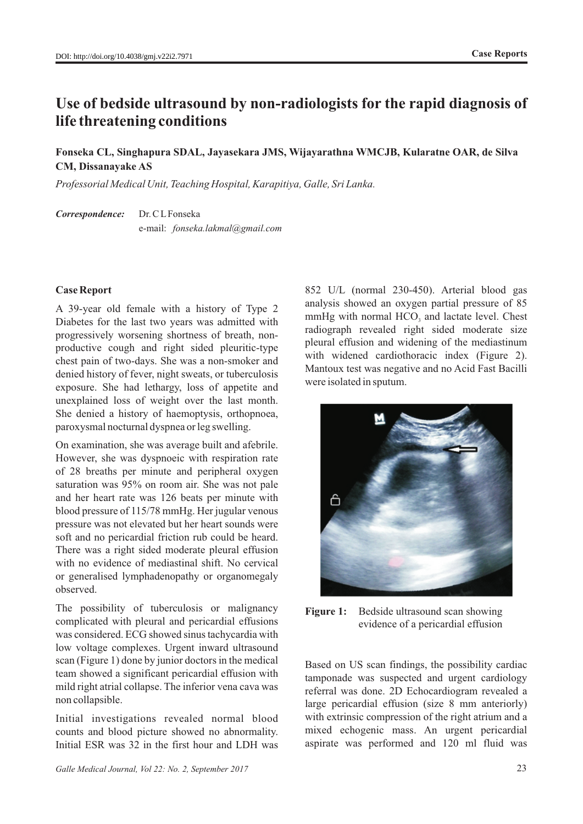# **Use of bedside ultrasound by non-radiologists for the rapid diagnosis of life threatening conditions**

## **Fonseka CL, Singhapura SDAL, Jayasekara JMS, Wijayarathna WMCJB, Kularatne OAR, de Silva CM, Dissanayake AS**

*Professorial Medical Unit, Teaching Hospital, Karapitiya, Galle, Sri Lanka.* 

*Correspondence:* Dr. C LFonseka e-mail: *fonseka.lakmal@gmail.com*

### **Case Report**

A 39-year old female with a history of Type 2 Diabetes for the last two years was admitted with progressively worsening shortness of breath, nonproductive cough and right sided pleuritic-type chest pain of two-days. She was a non-smoker and denied history of fever, night sweats, or tuberculosis exposure. She had lethargy, loss of appetite and unexplained loss of weight over the last month. She denied a history of haemoptysis, orthopnoea, paroxysmal nocturnal dyspnea or leg swelling.

On examination, she was average built and afebrile. However, she was dyspnoeic with respiration rate of 28 breaths per minute and peripheral oxygen saturation was 95% on room air. She was not pale and her heart rate was 126 beats per minute with blood pressure of 115/78 mmHg. Her jugular venous pressure was not elevated but her heart sounds were soft and no pericardial friction rub could be heard. There was a right sided moderate pleural effusion with no evidence of mediastinal shift. No cervical or generalised lymphadenopathy or organomegaly observed.

The possibility of tuberculosis or malignancy complicated with pleural and pericardial effusions was considered. ECG showed sinus tachycardia with low voltage complexes. Urgent inward ultrasound scan (Figure 1) done by junior doctors in the medical team showed a significant pericardial effusion with mild right atrial collapse. The inferior vena cava was non collapsible.

Initial investigations revealed normal blood counts and blood picture showed no abnormality. Initial ESR was 32 in the first hour and LDH was

852 U/L (normal 230-450). Arterial blood gas analysis showed an oxygen partial pressure of 85 mmHg with normal HCO, and lactate level. Chest radiograph revealed right sided moderate size pleural effusion and widening of the mediastinum with widened cardiothoracic index (Figure 2). Mantoux test was negative and no Acid Fast Bacilli were isolated in sputum.



**Figure 1:** Bedside ultrasound scan showing evidence of a pericardial effusion

Based on US scan findings, the possibility cardiac tamponade was suspected and urgent cardiology referral was done. 2D Echocardiogram revealed a large pericardial effusion (size 8 mm anteriorly) with extrinsic compression of the right atrium and a mixed echogenic mass. An urgent pericardial aspirate was performed and 120 ml fluid was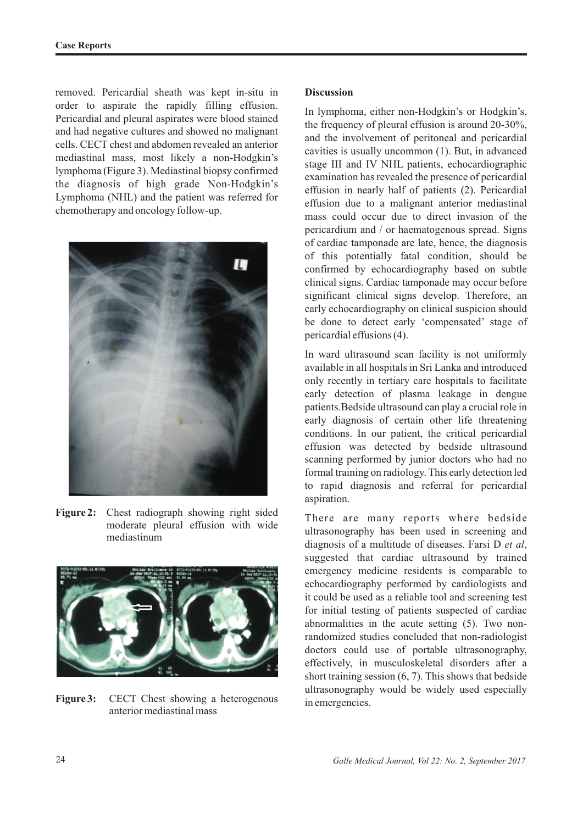removed. Pericardial sheath was kept in-situ in order to aspirate the rapidly filling effusion. Pericardial and pleural aspirates were blood stained and had negative cultures and showed no malignant cells. CECT chest and abdomen revealed an anterior mediastinal mass, most likely a non-Hodgkin's lymphoma (Figure 3). Mediastinal biopsy confirmed the diagnosis of high grade Non-Hodgkin's Lymphoma (NHL) and the patient was referred for chemotherapy and oncology follow-up.



**Figure 2:** Chest radiograph showing right sided moderate pleural effusion with wide mediastinum



**Figure 3:** CECT Chest showing a heterogenous anterior mediastinal mass

### **Discussion**

In lymphoma, either non-Hodgkin's or Hodgkin's, the frequency of pleural effusion is around 20-30%, and the involvement of peritoneal and pericardial cavities is usually uncommon (1). But, in advanced stage III and IV NHL patients, echocardiographic examination has revealed the presence of pericardial effusion in nearly half of patients (2). Pericardial effusion due to a malignant anterior mediastinal mass could occur due to direct invasion of the pericardium and / or haematogenous spread. Signs of cardiac tamponade are late, hence, the diagnosis of this potentially fatal condition, should be confirmed by echocardiography based on subtle clinical signs. Cardiac tamponade may occur before significant clinical signs develop. Therefore, an early echocardiography on clinical suspicion should be done to detect early 'compensated' stage of pericardial effusions (4).

In ward ultrasound scan facility is not uniformly available in all hospitals in Sri Lanka and introduced only recently in tertiary care hospitals to facilitate early detection of plasma leakage in dengue patients.Bedside ultrasound can play a crucial role in early diagnosis of certain other life threatening conditions. In our patient, the critical pericardial effusion was detected by bedside ultrasound scanning performed by junior doctors who had no formal training on radiology. This early detection led to rapid diagnosis and referral for pericardial aspiration.

There are many reports where bedside ultrasonography has been used in screening and diagnosis of a multitude of diseases. Farsi D *et al*, suggested that cardiac ultrasound by trained emergency medicine residents is comparable to echocardiography performed by cardiologists and it could be used as a reliable tool and screening test for initial testing of patients suspected of cardiac abnormalities in the acute setting (5). Two nonrandomized studies concluded that non-radiologist doctors could use of portable ultrasonography, effectively, in musculoskeletal disorders after a short training session (6, 7). This shows that bedside ultrasonography would be widely used especially in emergencies.